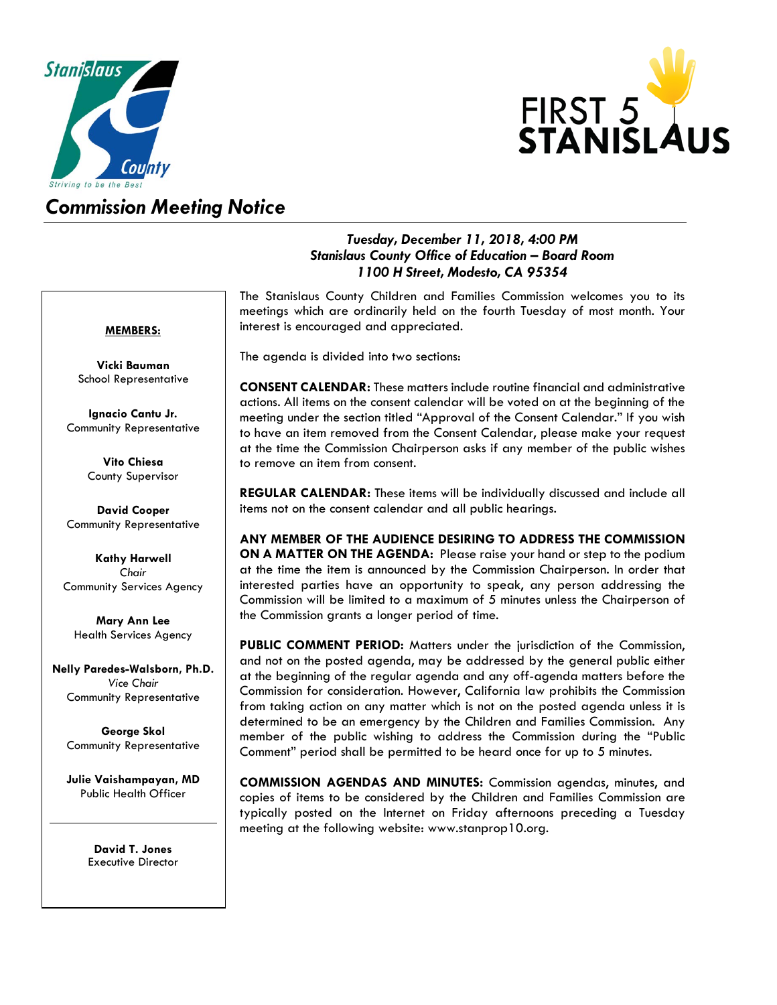



# *Commission Meeting Notice*

## *Tuesday, December 11, 2018, 4:00 PM Stanislaus County Office of Education – Board Room 1100 H Street, Modesto, CA 95354*

#### **MEMBERS:**

**Vicki Bauman** School Representative

**Ignacio Cantu Jr.** Community Representative

> **Vito Chiesa** County Supervisor

**David Cooper** Community Representative

**Kathy Harwell** *Chair* Community Services Agency

**Mary Ann Lee** Health Services Agency

**Nelly Paredes-Walsborn, Ph.D.** *Vice Chair* Community Representative

**George Skol** Community Representative

**Julie Vaishampayan, MD** Public Health Officer

> **David T. Jones** Executive Director

The Stanislaus County Children and Families Commission welcomes you to its meetings which are ordinarily held on the fourth Tuesday of most month. Your interest is encouraged and appreciated.

The agenda is divided into two sections:

**CONSENT CALENDAR:** These matters include routine financial and administrative actions. All items on the consent calendar will be voted on at the beginning of the meeting under the section titled "Approval of the Consent Calendar." If you wish to have an item removed from the Consent Calendar, please make your request at the time the Commission Chairperson asks if any member of the public wishes to remove an item from consent.

**REGULAR CALENDAR:** These items will be individually discussed and include all items not on the consent calendar and all public hearings.

**ANY MEMBER OF THE AUDIENCE DESIRING TO ADDRESS THE COMMISSION ON A MATTER ON THE AGENDA:** Please raise your hand or step to the podium at the time the item is announced by the Commission Chairperson. In order that interested parties have an opportunity to speak, any person addressing the Commission will be limited to a maximum of 5 minutes unless the Chairperson of the Commission grants a longer period of time.

**PUBLIC COMMENT PERIOD:** Matters under the jurisdiction of the Commission, and not on the posted agenda, may be addressed by the general public either at the beginning of the regular agenda and any off-agenda matters before the Commission for consideration. However, California law prohibits the Commission from taking action on any matter which is not on the posted agenda unless it is determined to be an emergency by the Children and Families Commission. Any member of the public wishing to address the Commission during the "Public Comment" period shall be permitted to be heard once for up to 5 minutes.

**COMMISSION AGENDAS AND MINUTES:** Commission agendas, minutes, and copies of items to be considered by the Children and Families Commission are typically posted on the Internet on Friday afternoons preceding a Tuesday meeting at the following website: [www.stanprop10.org.](http://www.stanprop10.org/)